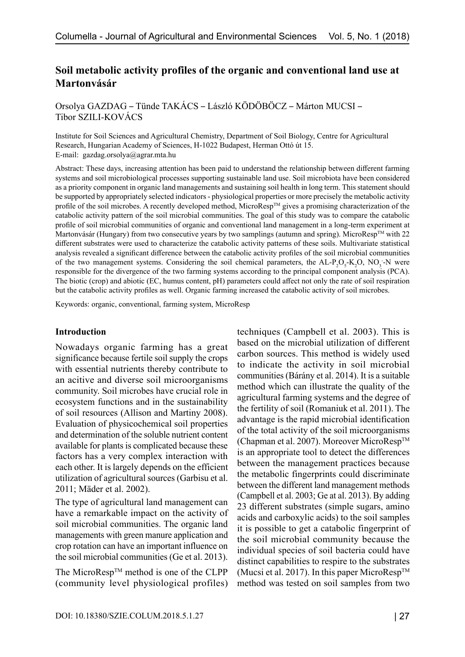# **Soil metabolic activity profiles of the organic and conventional land use at Martonvásár**

Orsolya GAZDAG – Tünde TAKÁCS – László KÖDÖBÖCZ – Márton MUCSI – Tibor SZILI-KOVÁCS

Institute for Soil Sciences and Agricultural Chemistry, Department of Soil Biology, Centre for Agricultural Research, Hungarian Academy of Sciences, H-1022 Budapest, Herman Ottó út 15. E-mail: [gazdag.orsolya@agrar.mta.hu](mailto:gazdag.orsolya@agrar.mta.hu)

Abstract: These days, increasing attention has been paid to understand the relationship between different farming systems and soil microbiological processes supporting sustainable land use. Soil microbiota have been considered as a priority component in organic land managements and sustaining soil health in long term. This statement should be supported by appropriately selected indicators - physiological properties or more precisely the metabolic activity profile of the soil microbes. A recently developed method, MicroResp<sup>TM</sup> gives a promising characterization of the catabolic activity pattern of the soil microbial communities. The goal of this study was to compare the catabolic profile of soil microbial communities of organic and conventional land management in a long-term experiment at Martonvásár (Hungary) from two consecutive years by two samplings (autumn and spring). MicroResp™ with 22 different substrates were used to characterize the catabolic activity patterns of these soils. Multivariate statistical analysis revealed a significant difference between the catabolic activity profiles of the soil microbial communities of the two management systems. Considering the soil chemical parameters, the  $AL-P_2O_5-K_2O$ ,  $NO_3$ -N were responsible for the divergence of the two farming systems according to the principal component analysis (PCA). The biotic (crop) and abiotic (EC, humus content, pH) parameters could affect not only the rate of soil respiration but the catabolic activity profiles as well. Organic farming increased the catabolic activity of soil microbes.

Keywords: organic, conventional, farming system, MicroResp

#### **Introduction**

Nowadays organic farming has a great significance because fertile soil supply the crops with essential nutrients thereby contribute to an acitive and diverse soil microorganisms community. Soil microbes have crucial role in ecosystem functions and in the sustainability of soil resources (Allison and Martiny 2008). Evaluation of physicochemical soil properties and determination of the soluble nutrient content available for plants is complicated because these factors has a very complex interaction with each other. It is largely depends on the efficient utilization of agricultural sources (Garbisu et al. 2011; Mäder et al. 2002).

The type of agricultural land management can have a remarkable impact on the activity of soil microbial communities. The organic land managements with green manure application and crop rotation can have an important influence on the soil microbial communities (Ge et al. 2013).

The MicroResp<sup>TM</sup> method is one of the CLPP (community level physiological profiles)

techniques (Campbell et al. 2003). This is based on the microbial utilization of different carbon sources. This method is widely used to indicate the activity in soil microbial communities (Bárány et al. 2014). It is a suitable method which can illustrate the quality of the agricultural farming systems and the degree of the fertility of soil (Romaniuk et al. 2011). The advantage is the rapid microbial identification of the total activity of the soil microorganisms (Chapman et al. 2007). Moreover MicroResp<sup>TM</sup> is an appropriate tool to detect the differences between the management practices because the metabolic fingerprints could discriminate between the different land management methods (Campbell et al. 2003; Ge at al. 2013). By adding 23 different substrates (simple sugars, amino acids and carboxylic acids) to the soil samples it is possible to get a catabolic fingerprint of the soil microbial community because the individual species of soil bacteria could have distinct capabilities to respire to the substrates (Mucsi et al. 2017). In this paper MicroResp<sup>TM</sup> method was tested on soil samples from two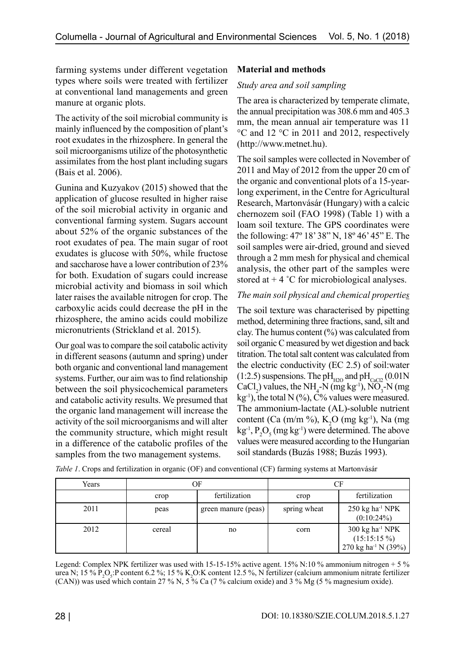farming systems under different vegetation types where soils were treated with fertilizer at conventional land managements and green manure at organic plots.

The activity of the soil microbial community is mainly influenced by the composition of plant's root exudates in the rhizosphere. In general the soil microorganisms utilize of the photosynthetic assimilates from the host plant including sugars (Bais et al. 2006).

Gunina and Kuzyakov (2015) showed that the application of glucose resulted in higher raise of the soil microbial activity in organic and conventional farming system. Sugars account about 52% of the organic substances of the root exudates of pea. The main sugar of root exudates is glucose with 50%, while fructose and saccharose have a lower contribution of 23% for both. Exudation of sugars could increase microbial activity and biomass in soil which later raises the available nitrogen for crop. The carboxylic acids could decrease the pH in the rhizosphere, the amino acids could mobilize micronutrients (Strickland et al. 2015).

Our goal was to compare the soil catabolic activity in different seasons (autumn and spring) under both organic and conventional land management systems. Further, our aim was to find relationship between the soil physicochemical parameters and catabolic activity results. We presumed that the organic land management will increase the activity of the soil microorganisms and will alter the community structure, which might result in a difference of the catabolic profiles of the samples from the two management systems.

# **Material and methods**

# *Study area and soil sampling*

The area is characterized by temperate climate, the annual precipitation was 308.6 mm and 405.3 mm, the mean annual air temperature was 11 °C and 12 °C in 2011 and 2012, respectively (http://www.metnet.hu).

The soil samples were collected in November of 2011 and May of 2012 from the upper 20 cm of the organic and conventional plots of a 15-yearlong experiment, in the Centre for Agricultural Research, Martonvásár (Hungary) with a calcic chernozem soil (FAO 1998) (Table 1) with a loam soil texture. The GPS coordinates were the following: 47º 18' 38" N, 18º 46' 45" E. The soil samples were air-dried, ground and sieved through a 2 mm mesh for physical and chemical analysis, the other part of the samples were stored at  $+4$  °C for microbiological analyses.

## *The main soil physical and chemical properties*

The soil texture was characterised by pipetting method, determining three fractions, sand, silt and clay. The humus content  $(\%)$  was calculated from soil organic C measured by wet digestion and back titration. The total salt content was calculated from the electric conductivity (EC 2.5) of soil:water (1:2.5) suspensions. The pH<sub>H2O</sub> and pH<sub>CaCl2</sub> (0.01N CaCl<sub>2</sub>) values, the NH<sub>4</sub>-N (mg kg<sup>-1</sup>), NO<sub>3</sub>-N (mg  $kg^{-1}$ ), the total N (%), C% values were measured. The ammonium-lactate (AL)-soluble nutrient content (Ca (m/m %),  $K_2O$  (mg kg<sup>-1</sup>), Na (mg  $kg^{-1}$ ,  $P_2O_5$  (mg kg<sup>-1</sup>) were determined. The above values were measured according to the Hungarian soil standards (Buzás 1988; Buzás 1993).

| Years |        | OF                  | CF           |                                                                                            |  |
|-------|--------|---------------------|--------------|--------------------------------------------------------------------------------------------|--|
|       | crop   | fertilization       | crop         | fertilization                                                                              |  |
| 2011  | peas   | green manure (peas) | spring wheat | 250 kg ha <sup>-1</sup> NPK<br>$(0:10:24\%)$                                               |  |
| 2012  | cereal | no                  | corn         | $300 \text{ kg}$ ha <sup>-1</sup> NPK<br>$(15:15:15\%)$<br>270 kg ha <sup>-1</sup> N (39%) |  |

*Table 1*. Crops and fertilization in organic (OF) and conventional (CF) farming systems at Martonvásár

Legend: Complex NPK fertilizer was used with 15-15-15% active agent. 15% N:10 % ammonium nitrogen + 5 % urea N; 15 % P<sub>2</sub>O<sub>5</sub>:P content 6.2 %; 15 % K<sub>2</sub>O:K content 12.5 %, N fertilizer (calcium ammonium nitrate fertilizer (CAN)) was used which contain 27 % N, 5 % Ca (7 % calcium oxide) and 3 % Mg (5 % magnesium oxide).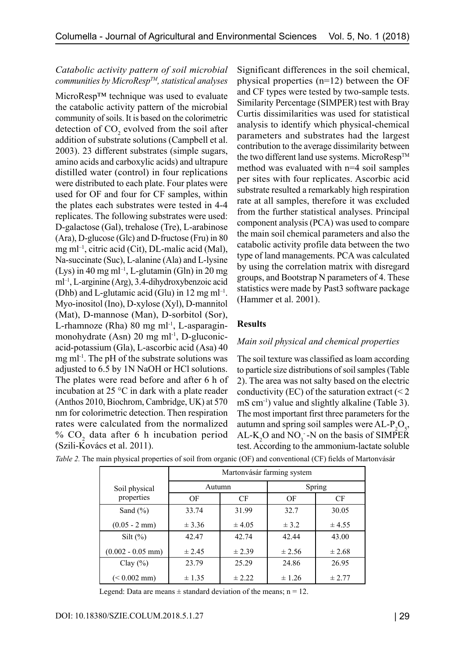## *Catabolic activity pattern of soil microbial communities by MicroRespTM, statistical analyses*

MicroResp™ technique was used to evaluate the catabolic activity pattern of the microbial community of soils. It is based on the colorimetric detection of  $CO_2$  evolved from the soil after addition of substrate solutions (Campbell et al. 2003). 23 different substrates (simple sugars, amino acids and carboxylic acids) and ultrapure distilled water (control) in four replications were distributed to each plate. Four plates were used for OF and four for CF samples, within the plates each substrates were tested in 4-4 replicates. The following substrates were used: D-galactose (Gal), trehalose (Tre), L-arabinose (Ara), D-glucose (Glc) and D-fructose (Fru) in 80 mg ml<sup>-1</sup>, citric acid (Cit), DL-malic acid (Mal), Na-succinate (Suc), L-alanine (Ala) and L-lysine (Lys) in 40 mg m $l^{-1}$ , L-glutamin (Gln) in 20 mg ml–1, L-arginine (Arg), 3.4-dihydroxybenzoic acid (Dhb) and L-glutamic acid (Glu) in 12 mg m $l^{-1}$ . Myo-inositol (Ino), D-xylose (Xyl), D-mannitol (Mat), D-mannose (Man), D-sorbitol (Sor), L-rhamnoze (Rha) 80 mg ml<sup>-1</sup>, L-asparaginmonohydrate (Asn) 20 mg ml<sup>-1</sup>, D-gluconicacid-potassium (Gla), L-ascorbic acid (Asa) 40 mg ml<sup>-1</sup>. The pH of the substrate solutions was adjusted to 6.5 by 1N NaOH or HCl solutions. The plates were read before and after 6 h of incubation at 25 °C in dark with a plate reader (Anthos 2010, Biochrom, Cambridge, UK) at 570 nm for colorimetric detection. Then respiration rates were calculated from the normalized %  $CO<sub>2</sub>$  data after 6 h incubation period (Szili-Kovács et al. 2011).

Significant differences in the soil chemical, physical properties (n=12) between the OF and CF types were tested by two-sample tests. Similarity Percentage (SIMPER) test with Bray Curtis dissimilarities was used for statistical analysis to identify which physical-chemical parameters and substrates had the largest contribution to the average dissimilarity between the two different land use systems. MicroResp<sup>TM</sup> method was evaluated with n=4 soil samples per sites with four replicates. Ascorbic acid substrate resulted a remarkably high respiration rate at all samples, therefore it was excluded from the further statistical analyses. Principal component analysis (PCA) was used to compare the main soil chemical parameters and also the catabolic activity profile data between the two type of land managements. PCA was calculated by using the correlation matrix with disregard groups, and Bootstrap N parameters of 4. These statistics were made by Past3 software package (Hammer et al. 2001).

# **Results**

## *Main soil physical and chemical properties*

The soil texture was classified as loam according to particle size distributions of soil samples (Table 2). The area was not salty based on the electric conductivity (EC) of the saturation extract  $\leq 2$ mS cm<sup>-1</sup>) value and slightly alkaline (Table 3). The most important first three parameters for the autumn and spring soil samples were  $AL-P_2O_5$ ,  $AL-K<sub>2</sub>O$  and  $NO<sub>3</sub> - N$  on the basis of SIMPER test. According to the ammonium-lactate soluble

|                         | Martonvásár farming system |            |           |            |  |  |
|-------------------------|----------------------------|------------|-----------|------------|--|--|
| Soil physical           | Autumn                     |            | Spring    |            |  |  |
| properties              | OF                         | CF         | OF        | CF         |  |  |
| Sand $(\% )$            | 33.74                      | 31.99      | 32.7      | 30.05      |  |  |
| $(0.05 - 2 \text{ mm})$ | $\pm$ 3.36                 | ± 4.05     | $\pm$ 3.2 | ± 4.55     |  |  |
| Silt $(\% )$            | 42.47                      | 42.74      | 42.44     | 43.00      |  |  |
| $(0.002 - 0.05$ mm)     | $\pm 2.45$                 | ± 2.39     | ± 2.56    | $\pm 2.68$ |  |  |
| Clay $(\% )$            | 23.79                      | 25.29      | 24.86     | 26.95      |  |  |
| $(< 0.002$ mm)          | $\pm 1.35$                 | $\pm 2.22$ | ± 1.26    | ± 2.77     |  |  |

*Table 2.* The main physical properties of soil from organic (OF) and conventional (CF) fields of Martonvásár

Legend: Data are means  $\pm$  standard deviation of the means; n = 12.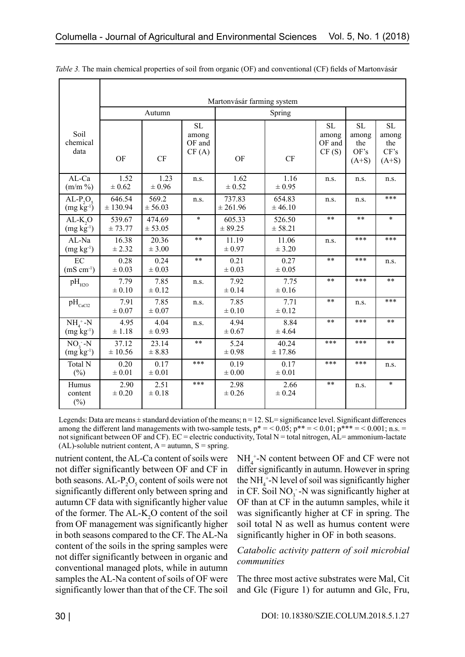|                                          | Martonvásár farming system |                    |                                |                     |                    |                                       |                                              |                                              |  |
|------------------------------------------|----------------------------|--------------------|--------------------------------|---------------------|--------------------|---------------------------------------|----------------------------------------------|----------------------------------------------|--|
|                                          | Autumn                     |                    |                                | Spring              |                    |                                       |                                              |                                              |  |
| Soil<br>chemical<br>data                 | OF                         | CF                 | SL<br>among<br>OF and<br>CF(A) | OF                  | CF                 | <b>SL</b><br>among<br>OF and<br>CF(S) | <b>SL</b><br>among<br>the<br>OF's<br>$(A+S)$ | <b>SL</b><br>among<br>the<br>CF's<br>$(A+S)$ |  |
| AL-Ca<br>$(m/m \%)$                      | 1.52<br>$\pm 0.62$         | 1.23<br>$\pm 0.96$ | n.s.                           | 1.62<br>$\pm 0.52$  | 1.16<br>$\pm 0.95$ | n.s.                                  | n.s.                                         | n.s.                                         |  |
| $AL-P_2O_5$<br>$(mg \overline{kg}^{-1})$ | 646.54<br>± 130.94         | 569.2<br>± 56.03   | n.s.                           | 737.83<br>± 261.96  | 654.83<br>± 46.10  | n.s.                                  | n.s.                                         | ***                                          |  |
| $AL-K, O$<br>$(mg \; kg^{-1})$           | 539.67<br>± 73.77          | 474.69<br>± 53.05  | $\ast$                         | 605.33<br>± 89.25   | 526.50<br>± 58.21  | $**$                                  | $***$                                        | $\ast$                                       |  |
| AL-Na<br>$(mg kg-1)$                     | 16.38<br>± 2.32            | 20.36<br>± 3.00    | $***$                          | 11.19<br>$\pm 0.97$ | 11.06<br>± 3.20    | n.s.                                  | ***                                          | ***                                          |  |
| EC<br>$(mS cm^{-1})$                     | 0.28<br>$\pm 0.03$         | 0.24<br>$\pm 0.03$ | $***$                          | 0.21<br>$\pm 0.03$  | 0.27<br>$\pm 0.05$ | $**$                                  | ***                                          | n.s.                                         |  |
| $\rm{pH}_{H2O}$                          | 7.79<br>$\pm 0.10$         | 7.85<br>$\pm 0.12$ | n.s.                           | 7.92<br>$\pm 0.14$  | 7.75<br>$\pm 0.16$ | $***$                                 | ***                                          | **                                           |  |
| $\rm pH_{\rm CaCl2}$                     | 7.91<br>$\pm$ 0.07         | 7.85<br>$\pm 0.07$ | n.s.                           | 7.85<br>$\pm$ 0.10  | 7.71<br>$\pm 0.12$ | $***$                                 | n.s.                                         | ***                                          |  |
| $NH4+ -N$<br>$(mg kg-1)$                 | 4.95<br>$\pm$ 1.18         | 4.04<br>$\pm 0.93$ | n.s.                           | 4.94<br>$\pm 0.67$  | 8.84<br>± 4.64     | $**$                                  | ***                                          | **                                           |  |
| $NO, -N$<br>$(mg kg-1)$                  | 37.12<br>± 10.56           | 23.14<br>± 8.83    | $***$                          | 5.24<br>$\pm 0.98$  | 40.24<br>± 17.86   | ***                                   | ***                                          | **                                           |  |
| Total N<br>$(\%)$                        | 0.20<br>$\pm$ 0.01         | 0.17<br>$\pm$ 0.01 | ***                            | 0.19<br>$\pm 0.00$  | 0.17<br>$\pm 0.01$ | ***                                   | ***                                          | n.s.                                         |  |
| Humus<br>content<br>$(\%)$               | 2.90<br>$\pm 0.20$         | 2.51<br>$\pm 0.18$ | ***                            | 2.98<br>$\pm 0.26$  | 2.66<br>$\pm 0.24$ | $***$                                 | n.s.                                         | $\ast$                                       |  |

*Table 3.* The main chemical properties of soil from organic (OF) and conventional (CF) fields of Martonvásár

Legends: Data are means  $\pm$  standard deviation of the means;  $n = 12$ . SL= significance level. Significant differences among the different land managements with two-sample tests,  $p^* = 0.05$ ;  $p^{**} = 0.01$ ;  $p^{***} = 0.001$ ; n.s. = not significant between OF and CF). EC = electric conductivity, Total N = total nitrogen,  $AL=$  ammonium-lactate  $(AL)$ -soluble nutrient content,  $A =$  autumn,  $S =$  spring.

nutrient content, the AL-Ca content of soils were not differ significantly between OF and CF in both seasons.  $AL-P_2O_5$  content of soils were not significantly different only between spring and autumn CF data with significantly higher value of the former. The  $AL-K_2O$  content of the soil from OF management was significantly higher in both seasons compared to the CF. The AL-Na content of the soils in the spring samples were not differ significantly between in organic and conventional managed plots, while in autumn samples the AL-Na content of soils of OF were significantly lower than that of the CF. The soil

 $NH_4^+$ -N content between OF and CF were not differ significantly in autumn. However in spring the  $NH_4^+$ -N level of soil was significantly higher in CF. Soil  $NO_3^-$ -N was significantly higher at OF than at CF in the autumn samples, while it was significantly higher at CF in spring. The soil total N as well as humus content were significantly higher in OF in both seasons.

## *Catabolic activity pattern of soil microbial communities*

The three most active substrates were Mal, Cit and Glc (Figure 1) for autumn and Glc, Fru,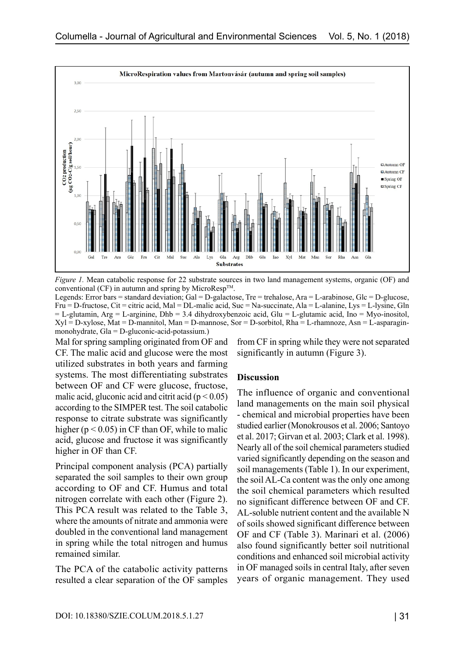

*Figure 1.* Mean catabolic response for 22 substrate sources in two land management systems, organic (OF) and conventional (CF) in autumn and spring by MicroResp<sup>TM</sup>.

Legends: Error bars = standard deviation; Gal = D-galactose, Tre = trehalose, Ara = L-arabinose, Glc = D-glucose, Fru = D-fructose, Cit = citric acid, Mal = DL-malic acid, Suc = Na-succinate, Ala = L-alanine, Lys = L-lysine, Gln  $=$  L-glutamin, Arg  $=$  L-arginine, Dhb  $=$  3.4 dihydroxybenzoic acid, Glu  $=$  L-glutamic acid, Ino  $=$  Myo-inositol,  $Xyl = D-xylose$ , Mat = D-mannitol, Man = D-mannose, Sor = D-sorbitol, Rha = L-rhamnoze, Asn = L-asparaginmonohydrate, Gla = D-gluconic-acid-potassium.)

Mal for spring sampling originated from OF and CF. The malic acid and glucose were the most utilized substrates in both years and farming systems. The most differentiating substrates between OF and CF were glucose, fructose, malic acid, gluconic acid and citrit acid ( $p < 0.05$ ) according to the SIMPER test. The soil catabolic response to citrate substrate was significantly higher ( $p < 0.05$ ) in CF than OF, while to malic acid, glucose and fructose it was significantly higher in OF than CF.

Principal component analysis (PCA) partially separated the soil samples to their own group according to OF and CF. Humus and total nitrogen correlate with each other (Figure 2). This PCA result was related to the Table 3, where the amounts of nitrate and ammonia were doubled in the conventional land management in spring while the total nitrogen and humus remained similar.

The PCA of the catabolic activity patterns resulted a clear separation of the OF samples from CF in spring while they were not separated significantly in autumn (Figure 3).

#### **Discussion**

The influence of organic and conventional land managements on the main soil physical - chemical and microbial properties have been studied earlier (Monokrousos et al. 2006; Santoyo et al. 2017; Girvan et al. 2003; Clark et al. 1998). Nearly all of the soil chemical parameters studied varied significantly depending on the season and soil managements (Table 1). In our experiment, the soil AL-Ca content was the only one among the soil chemical parameters which resulted no significant difference between OF and CF. AL-soluble nutrient content and the available N of soils showed significant difference between OF and CF (Table 3). Marinari et al. (2006) also found significantly better soil nutritional conditions and enhanced soil microbial activity in OF managed soils in central Italy, after seven years of organic management. They used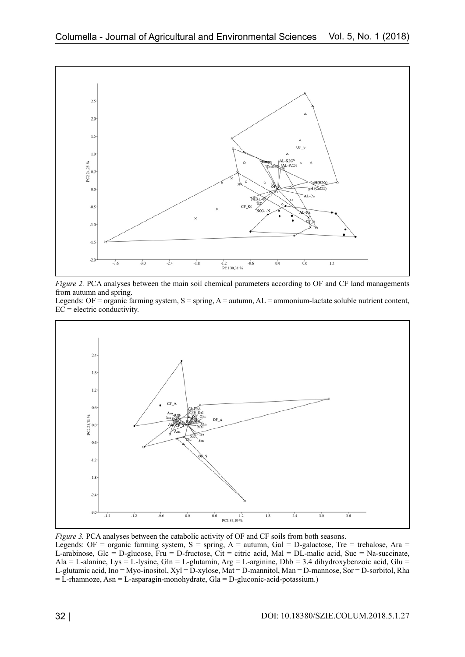

*Figure 2.* PCA analyses between the main soil chemical parameters according to OF and CF land managements from autumn and spring.

Legends: OF = organic farming system,  $S =$  spring,  $A =$  autumn,  $AL =$  ammonium-lactate soluble nutrient content,  $EC = electric$  conductivity.



*Figure 3.* PCA analyses between the catabolic activity of OF and CF soils from both seasons.

Legends: OF = organic farming system,  $S =$  spring,  $A =$  autumn, Gal = D-galactose, Tre = trehalose, Ara = L-arabinose, Glc = D-glucose, Fru = D-fructose, Cit = citric acid, Mal = DL-malic acid, Suc = Na-succinate, Ala = L-alanine, Lys = L-lysine, Gln = L-glutamin, Arg = L-arginine, Dhb = 3.4 dihydroxybenzoic acid, Glu = L-glutamic acid, Ino = Myo-inositol, Xyl = D-xylose, Mat = D-mannitol, Man = D-mannose, Sor = D-sorbitol, Rha  $=$  L-rhamnoze, Asn  $=$  L-asparagin-monohydrate, Gla  $=$  D-gluconic-acid-potassium.)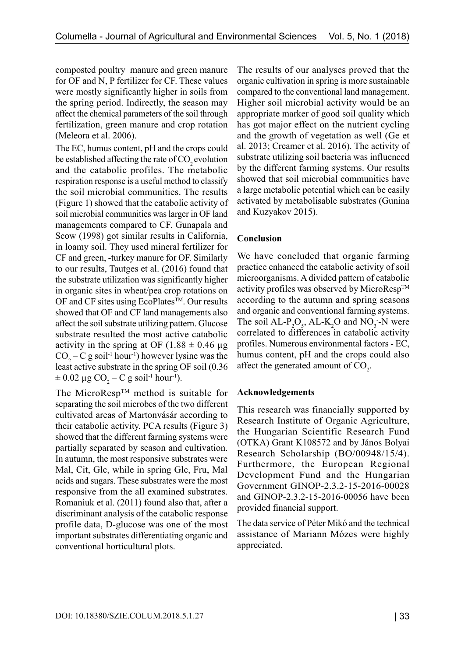composted poultry manure and green manure for OF and N, P fertilizer for CF. These values were mostly significantly higher in soils from the spring period. Indirectly, the season may affect the chemical parameters of the soil through fertilization, green manure and crop rotation (Meleora et al. 2006).

The EC, humus content, pH and the crops could be established affecting the rate of  $CO<sub>2</sub>$  evolution and the catabolic profiles. The metabolic respiration response is a useful method to classify the soil microbial communities. The results (Figure 1) showed that the catabolic activity of soil microbial communities was larger in OF land managements compared to CF. Gunapala and Scow (1998) got similar results in California, in loamy soil. They used mineral fertilizer for CF and green, -turkey manure for OF. Similarly to our results, Tautges et al. (2016) found that the substrate utilization was significantly higher in organic sites in wheat/pea crop rotations on OF and CF sites using EcoPlates™. Our results showed that OF and CF land managements also affect the soil substrate utilizing pattern. Glucose substrate resulted the most active catabolic activity in the spring at OF (1.88  $\pm$  0.46 µg  $CO_2 - C$  g soil<sup>-1</sup> hour<sup>-1</sup>) however lysine was the least active substrate in the spring OF soil (0.36  $\pm$  0.02 µg CO<sub>2</sub> – C g soil<sup>-1</sup> hour<sup>1</sup>).

The MicroResp<sup>TM</sup> method is suitable for separating the soil microbes of the two different cultivated areas of Martonvásár according to their catabolic activity. PCA results (Figure 3) showed that the different farming systems were partially separated by season and cultivation. In autumn, the most responsive substrates were Mal, Cit, Glc, while in spring Glc, Fru, Mal acids and sugars. These substrates were the most responsive from the all examined substrates. Romaniuk et al. (2011) found also that, after a discriminant analysis of the catabolic response profile data, D-glucose was one of the most important substrates differentiating organic and conventional horticultural plots.

The results of our analyses proved that the organic cultivation in spring is more sustainable compared to the conventional land management. Higher soil microbial activity would be an appropriate marker of good soil quality which has got major effect on the nutrient cycling and the growth of vegetation as well (Ge et al. 2013; Creamer et al. 2016). The activity of substrate utilizing soil bacteria was influenced by the different farming systems. Our results showed that soil microbial communities have a large metabolic potential which can be easily activated by metabolisable substrates (Gunina and Kuzyakov 2015).

### **Conclusion**

We have concluded that organic farming practice enhanced the catabolic activity of soil microorganisms. A divided pattern of catabolic activity profiles was observed by MicroResp<sup>TM</sup> according to the autumn and spring seasons and organic and conventional farming systems. The soil  $AL-P_2O_5$ ,  $AL-K_2O$  and  $NO_3$ -N were correlated to differences in catabolic activity profiles. Numerous environmental factors - EC, humus content, pH and the crops could also affect the generated amount of  $CO_2$ .

#### **Acknowledgements**

This research was financially supported by Research Institute of Organic Agriculture, the Hungarian Scientific Research Fund (OTKA) Grant K108572 and by János Bolyai Research Scholarship (BO/00948/15/4). Furthermore, the European Regional Development Fund and the Hungarian Government GINOP-2.3.2-15-2016-00028 and GINOP-2.3.2-15-2016-00056 have been provided financial support.

The data service of Péter Mikó and the technical assistance of Mariann Mózes were highly appreciated.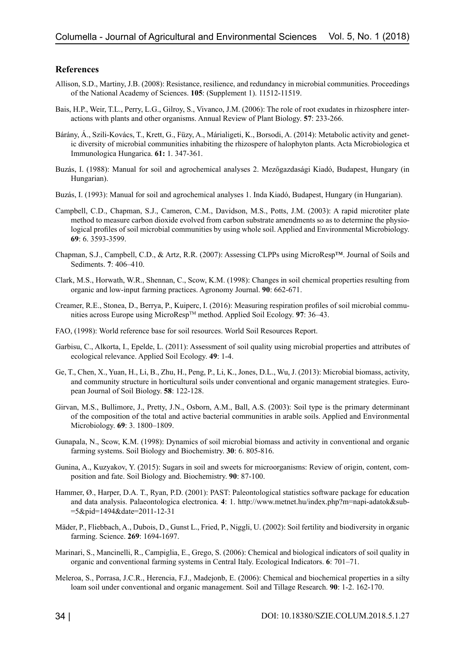#### **References**

- Allison, S.D., Martiny, J.B. (2008): Resistance, resilience, and redundancy in microbial communities. Proceedings of the National Academy of Sciences. **105**: (Supplement 1). 11512-11519.
- Bais, H.P., Weir, T.L., Perry, L.G., Gilroy, S., Vivanco, J.M. (2006): The role of root exudates in rhizosphere interactions with plants and other organisms. Annual Review of Plant Biology. **57**: 233-266.
- Bárány, Á., Szili-Kovács, T., Krett, G., Füzy, A., Márialigeti, K., Borsodi, A. (2014): Metabolic activity and genetic diversity of microbial communities inhabiting the rhizospere of halophyton plants. Acta Microbiologica et Immunologica Hungarica. **61:** 1. 347-361.
- Buzás, I. (1988): Manual for soil and agrochemical analyses 2. Mezőgazdasági Kiadó, Budapest, Hungary (in Hungarian).
- Buzás, I. (1993): Manual for soil and agrochemical analyses 1. Inda Kiadó, Budapest, Hungary (in Hungarian).
- Campbell, C.D., Chapman, S.J., Cameron, C.M., Davidson, M.S., Potts, J.M. (2003): A rapid microtiter plate method to measure carbon dioxide evolved from carbon substrate amendments so as to determine the physiological profiles of soil microbial communities by using whole soil. Applied and Environmental Microbiology. **69**: 6. 3593-3599.
- Chapman, S.J., Campbell, C.D., & Artz, R.R. (2007): Assessing CLPPs using MicroResp™. Journal of Soils and Sediments. **7**: 406–410.
- Clark, M.S., Horwath, W.R., Shennan, C., Scow, K.M. (1998): Changes in soil chemical properties resulting from organic and low-input farming practices. Agronomy Journal. **90**: 662-671.
- Creamer, R.E., Stonea, D., Berrya, P., Kuiperc, I. (2016): Measuring respiration profiles of soil microbial communities across Europe using MicroRespTM method. Applied Soil Ecology. **97**: 36–43.
- FAO, (1998): World reference base for soil resources. World Soil Resources Report.
- Garbisu, C., Alkorta, I., Epelde, L. (2011): Assessment of soil quality using microbial properties and attributes of ecological relevance. Applied Soil Ecology. **49**: 1-4.
- Ge, T., Chen, X., Yuan, H., Li, B., Zhu, H., Peng, P., Li, K., Jones, D.L., Wu, J. (2013): Microbial biomass, activity, and community structure in horticultural soils under conventional and organic management strategies. European Journal of Soil Biology. **58**: 122-128.
- Girvan, M.S., Bullimore, J., Pretty, J.N., Osborn, A.M., Ball, A.S. (2003): Soil type is the primary determinant of the composition of the total and active bacterial communities in arable soils. Applied and Environmental Microbiology. **69**: 3. 1800–1809.
- Gunapala, N., Scow, K.M. (1998): Dynamics of soil microbial biomass and activity in conventional and organic farming systems. Soil Biology and Biochemistry. **30**: 6. 805-816.
- Gunina, A., Kuzyakov, Y. (2015): Sugars in soil and sweets for microorganisms: Review of origin, content, composition and fate. Soil Biology and. Biochemistry. **90**: 87-100.
- Hammer, Ø., Harper, D.A. T., Ryan, P.D. (2001): PAST: Paleontological statistics software package for education and data analysis. Palaeontologica electronica. **4**: 1. [http://www.metnet.hu/index.php?m=napi-adatok&sub](http://www.metnet.hu/index.php?m=napi-adatok&sub=5&pid=1494&date=2011-12-31)- [=5&pid=1494&date=2011-12-31](http://www.metnet.hu/index.php?m=napi-adatok&sub=5&pid=1494&date=2011-12-31)
- Mäder, P., Fliebbach, A., Dubois, D., Gunst L., Fried, P., Niggli, U. (2002): Soil fertility and biodiversity in organic farming. Science. **269**: 1694-1697.
- Marinari, S., Mancinelli, R., Campiglia, E., Grego, S. (2006): Chemical and biological indicators of soil quality in organic and conventional farming systems in Central Italy. Ecological Indicators. **6**: 701–71.
- Meleroa, S., Porrasa, J.C.R., Herencia, F.J., Madejonb, E. (2006): Chemical and biochemical properties in a silty loam soil under conventional and organic management. Soil and Tillage Research. **90**: 1-2. 162-170.